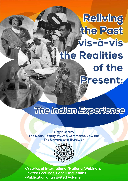# **Refiving** the Past Wis-à-vis **the Realities** of the Present:

## The Indian Experience

**Organised by The Dean, Faculty of Arts, Commerce, Law etc. The University of Burdwan**



- **A series of International/National Webinars**
- **Invited Lectures, Panel Discussions**
- **Publication of an Edited Volume**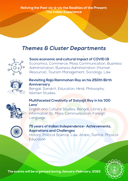**Reliving the Past vis-à-vis the Realities of the Present: The Indian Experience**

### **Themes & Cluster Departments**



#### **Socio economic and cultural impact of COVID 19**

Economics, Commerce, Mass Communication, Business Administration, Business Administration (Human Resource), Tourism Management, Sociology, Law



#### **Revisiting Raja Rammohan Roy on his 250th Birth Anniversary**

Bengali, Sanskrit, Education, Hindi, Philosophy, Women Studies



#### **Multifaceted Creativity of Satyajit Roy in his '100 Lens'**

English and Cultural Studies, Bengali, Library & Information Sc, Mass Communication, Foreign Language



#### **75 years of Indian Independence- Achievements, Aspirations and Challenges**

History, Political Science, Law, Arabic, Santali, Physical Education



**The events will be organised during January-February, 2022**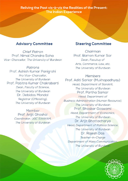#### Reliving the Past vis-à-vis the Realities of the Present: **The Indian Experience**

#### **Advisory Committee**

**Chief Patron** Prof. Nimai Chandra Saha Vice- Chancellor, The University of Burdwan

Patrons Prof. Ashish Kumar Panigrahi Pro Vice-Chancellor, The University of Burdwan Prof. Pabitra Kumar Chakrabarti Dean, Faculty of Science, The University of Burdwan Dr. Debidas Mondal Registrar (Officiating), The University of Burdwan

> Member Prof. Arijit Ghoshal Coordinator, UGC SWAYAM, The University of Burdwan

#### **Steering Committee**

Chairman Prof. Ramen Kumar Sar Dean, Facultuy of Arts, Commerce, Law, etc. The University of Burdwan

#### Members Prof. Aditi Sarkar (Mukhopadhyay) Head, Department of Sanskrit, The University of Burdwan Prof. Partha Sarkar Head, Department of Business Administration (Human Resource). The University of Burdwan Prof. Bhaskar Goswami Head, Department of Economics, The University of Burdwan Dr. Arijit Bhattacharya Head, Department of Political Science, The University of Burdwan Dr. Rajesh Das Teacher-in-Charge Department of Mass Communication. The University of Burdwan